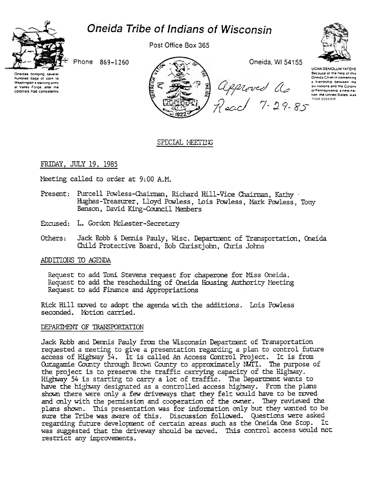# Oneida Tribe of Indians of Wisconsin



Post Office Box 365



UGWA DEMOLUM YATEHE

Because of the neip of this Oneida Chief in cementing

a Iriendship between the

six nations and the Colony of Pennsylvania, a new na-

tion the United States, was hade possible

Phone: 869-1260

Oneidas bringi hundred bags of corn to Washington's starving army at Valley Forge, after the colonists had consistently

Oneida, WI 54155 approved as<br>Read 7-29-85

# SPECIAL MEETING

# FRIDAY, JULY 19, 1985

Meeting called to order at 9:00 A.M.

- Present: Purcell Powless-Chairman, Richard Hill-Vice Chairman, Kathy Hughes-Treasurer, Lloyd Powless, Lois Powless, Mark Powless, Tony Benson, David King-Council Members
- Excused: L. Gordon McLester-Secretary
- Others: Jack Robb & Dennis Pauly, Wisc. Department of Transportation, Oneida Child Protective Board, Bob Christjohn, Chris Johns

## ADDITIONS TO AGENDA

Request to add Toni Stevens request for chaperone for Miss Oneida. Request to add the rescheduling of Oneida Housing Authority Meeting Request to add Finance and Appropriations

Rick Hill moved to adopt the agenda with the additions. Lois Powless seconded. Motion carried.

## DEPARTMENT OF TRANSPORTATION

Jack Robb and Dennis Pauly from the Wisconsin Department of Transportation requested a meeting to give a presentation regarding a plan to control future access of Highway 54. It is called An Access Control Project. It is from Outagamie County through Brown County to approximately MVII. The purpose of the project is to preserve the traffic carrying capacity of the Highway. Highway 54 is starting to carry a lot of traffic. The Department wants to have the highway designated as a controlled access highway. From the plans shown there were only a few driveways that they felt would have to be moved and only with the permission and cooperation of the owner. They reviewed the plans shown. This presentation was for information only but they wanted to be sure the Tribe was aware of this. Discussion followed. Questions were asked regarding future development of certain areas such as the Oneida One Stop. Ιt was suggested that the driveway should be moved. This control access would not restrict any improvements.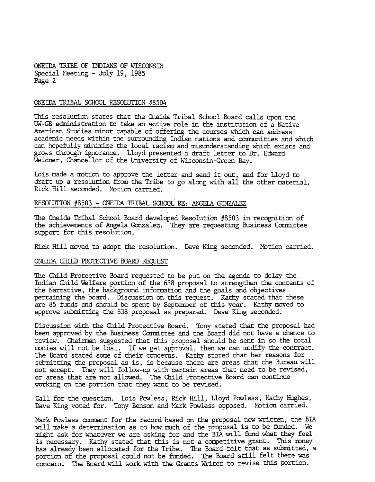ONEIDA TRIBE OF INDIANS OF WISCONSIN Special Meeting - July 19, 1985 Page 2

### ONEIDA TRIBAL SCHOOL RESOLUTION #8504

This resolution states that the Oneida Tribal School Board calls upon the UW-GB administration to take an active role in the institution of a Native American Studies minor capable of offering the courses which can address academic needs within the surrounding Indian nations and communities and which can hopefully minimize the local racism and misunderstanding which exists and grows through ignorance. Lloyd presented a draft letter to Dr. Edward Weidner, Chancellor of the Lniversity of Wisconsin-Green Bay.

Lois made a motion to approve the letter and send it out, and for Lloyd to draft up a resolution from the Tribe to go along with all the other material. Rick Hill seconded. Motion carried.

## RESOLUTION #8503 - ONEIDA TRIBAL SCHOOL RE: ANGELA GONZALEZ

The Oneida Tribal School Board developed Resolution #8503 in recognition of the achievements of Angela Gonzalez. They are requesting Business Committee support for this resolution.

Rick Hill moved to adopt the resolution. Dave King seconded. Motion carried.

#### ONEIDA CHILD PROTECTIVE BOARD REQUEST

The Child Protective Board requested to be put on the agenda to delay the Indian Child Welfare portion of the 638 proposal to strengthen the contents of the Narrative, the background information and the goals and objectives pertaining the board. Discussion on this request. Kathy stated that these are 85 funds and should be spent by September of this year. Kathy moved to approve submitting the 638 proposal as prepared. Dave King seconded.

Discussion with the Child Protective Board. Tony stated that the proposal had been approved by the Business Committee and the Board did not have a chance to review. Chairman suggested that this proposal should be sent in so the total mnies will not be lost. If we get approval, then we can mdify the contract. The Board stated some of their concerns. Kathy stated that her reasons for submitting the proposal as is, is because there are areas that the Bureau will not accept. They will follow-up with certain areas that need to be revised, or areas that are not allowed. The Child Protective Board can continue working on the portion that they want to be revised.

Call for the question. Lois Powless, Rick Hill, Lloyd Powless, Kathy Hughes, Dave King voted for. Tony Benson and Mark Powless opposed. Motion carrie

Mark Powless comment for the record based on the proposal now written, the BIA will make a determination as to how much of the proposal is to be funded. We might ask for whatever we are asking for and the BIA will fund what they feel is necessary. Kathy stated that this is not a competitive grant. This money has already been allocated for the Tribe. The Board felt that as submitted, a portion of the proposal could not be funded. The Board still felt there was concern. The Board will work widh dhe Grants Writer to revise this portion.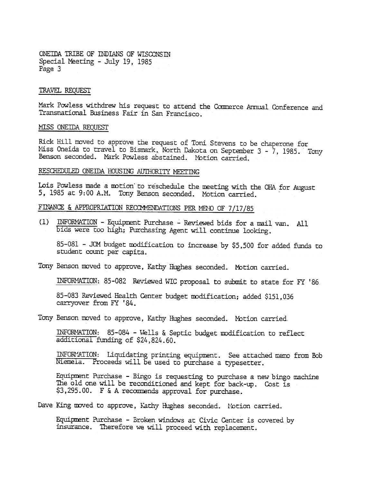ONEIDA TRIBE OF INDIANS OF WISCONSTN Special Meeting -July 19, 1985 Page 3

#### TRAVEL REQUEST

Mark Powless withdrew his request to attend the Commerce Annual Conference and Transnational Business Fair in San Francisco.

#### MISS ONEIDA REQUEST

Rick Hill moved to approve the request of Toni Stevens to be chaperone for Miss Oneida to travel to Bismark, North Dakota on September 3 - 7, 1985. Tony Benson seconded. Mark Powless abstained. Motion carried.

# RESCHEDULED ONEIDA HOUSING AUTHORITY MEETING

Lois Powless made a motion to reschedule the meeting with the OHA for August 1985 at 9:00 A.M. Tony Benson seconded. Motion carried.

FINANCE & APPROPRIATION RECOMMENDATIONS PER MENO OF 7/17/85

(1) INFORMATION - Equipment Purchase - Reviewed bids for a mail van. Al bids were too high; Purchasing Agent will continue looking.

85-081 - JCM budget modification to increase by \$5,500 for added funds to student count per capita.

Tony Benson moved to approve, Kathy Hughes seconded. Motion carried.

INFORMATION: 85-082 Reviewed WIC proposal to submit to state for FY '86.

85-083 Reviewed Health Center budget modification; added \$151,036 carryover from FY '84.

Tony Benson moved to approve, Kathy Hughes seconded. Motion carried.

INFORMATION: 85-084 - Wells & Septic budget modification to reflect additional funding of \$24,824. 60.

INFORM: Liquidating printing equipment. See attached memo from Bob Niemela. Proceeds will be used to purchase a typesetter.

Equipment Purchase - Bingo is requesting to purchase a new bingo machine The old one will be reconditioned and kept for back-up. Cost is  $$3,295.00$ . F & A recommends approval for purchase.

Dave King moved to approve, Kathy Hughes seconded. Motion carried.

Equipment Purchase - Broken windows at Civic Center is covered by insurance. Therefore we will proceed with replacement.